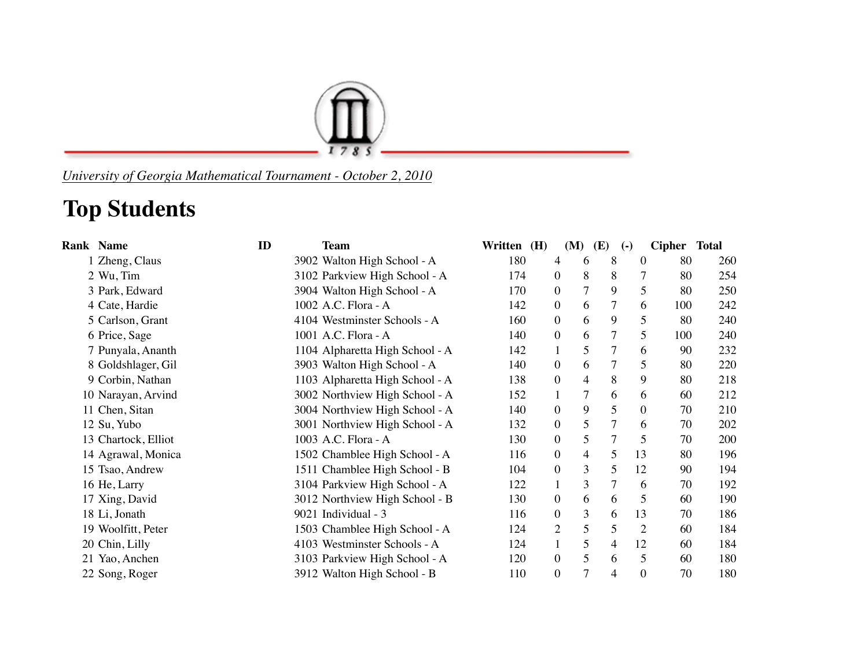

*University of Georgia Mathematical Tournament - October 2, 2010*

## **Top Students**

| <b>Rank Name</b>    | ID | <b>Team</b>                     | Written (H) |                  | (M)            | (E) | $(-)$            | Cipher Total |     |
|---------------------|----|---------------------------------|-------------|------------------|----------------|-----|------------------|--------------|-----|
| 1 Zheng, Claus      |    | 3902 Walton High School - A     | 180         | 4                | 6              | 8   | $\overline{0}$   | 80           | 260 |
| 2 Wu, Tim           |    | 3102 Parkview High School - A   | 174         | $\boldsymbol{0}$ | 8              | 8   | $\overline{7}$   | 80           | 254 |
| 3 Park, Edward      |    | 3904 Walton High School - A     | 170         | $\overline{0}$   | $\overline{7}$ | 9   | 5                | 80           | 250 |
| 4 Cate, Hardie      |    | 1002 A.C. Flora - A             | 142         | $\overline{0}$   | 6              | 7   | 6                | 100          | 242 |
| 5 Carlson, Grant    |    | 4104 Westminster Schools - A    | 160         | $\overline{0}$   | 6              | 9   | 5                | 80           | 240 |
| 6 Price, Sage       |    | 1001 A.C. Flora - A             | 140         | $\boldsymbol{0}$ | 6              |     | 5                | 100          | 240 |
| 7 Punyala, Ananth   |    | 1104 Alpharetta High School - A | 142         | $\mathbf{1}$     | 5              | 7   | 6                | 90           | 232 |
| 8 Goldshlager, Gil  |    | 3903 Walton High School - A     | 140         | $\overline{0}$   | 6              | 7   | 5                | 80           | 220 |
| 9 Corbin, Nathan    |    | 1103 Alpharetta High School - A | 138         | $\boldsymbol{0}$ | $\overline{4}$ | 8   | 9                | 80           | 218 |
| 10 Narayan, Arvind  |    | 3002 Northview High School - A  | 152         |                  | 7              | 6   | 6                | 60           | 212 |
| 11 Chen, Sitan      |    | 3004 Northview High School - A  | 140         | $\boldsymbol{0}$ | 9              | 5   | $\overline{0}$   | 70           | 210 |
| 12 Su, Yubo         |    | 3001 Northview High School - A  | 132         | $\overline{0}$   | 5              | 7   | 6                | 70           | 202 |
| 13 Chartock, Elliot |    | 1003 A.C. Flora - A             | 130         | $\overline{0}$   | $\mathfrak{S}$ | 7   | 5                | 70           | 200 |
| 14 Agrawal, Monica  |    | 1502 Chamblee High School - A   | 116         | $\boldsymbol{0}$ | $\overline{4}$ | 5   | 13               | 80           | 196 |
| 15 Tsao, Andrew     |    | 1511 Chamblee High School - B   | 104         | $\boldsymbol{0}$ | 3              | 5   | 12               | 90           | 194 |
| 16 He, Larry        |    | 3104 Parkview High School - A   | 122         |                  | 3              | 7   | 6                | 70           | 192 |
| 17 Xing, David      |    | 3012 Northview High School - B  | 130         | $\overline{0}$   | 6              | 6   | 5                | 60           | 190 |
| 18 Li, Jonath       |    | 9021 Individual - 3             | 116         | $\boldsymbol{0}$ | 3              | 6   | 13               | 70           | 186 |
| 19 Woolfitt, Peter  |    | 1503 Chamblee High School - A   | 124         | 2                | 5              | 5   | $\overline{2}$   | 60           | 184 |
| 20 Chin, Lilly      |    | 4103 Westminster Schools - A    | 124         | $\mathbf{1}$     | 5              | 4   | 12               | 60           | 184 |
| 21 Yao, Anchen      |    | 3103 Parkview High School - A   | 120         | $\overline{0}$   | 5              | 6   | 5                | 60           | 180 |
| 22 Song, Roger      |    | 3912 Walton High School - B     | 110         | $\boldsymbol{0}$ | $\overline{7}$ | 4   | $\boldsymbol{0}$ | 70           | 180 |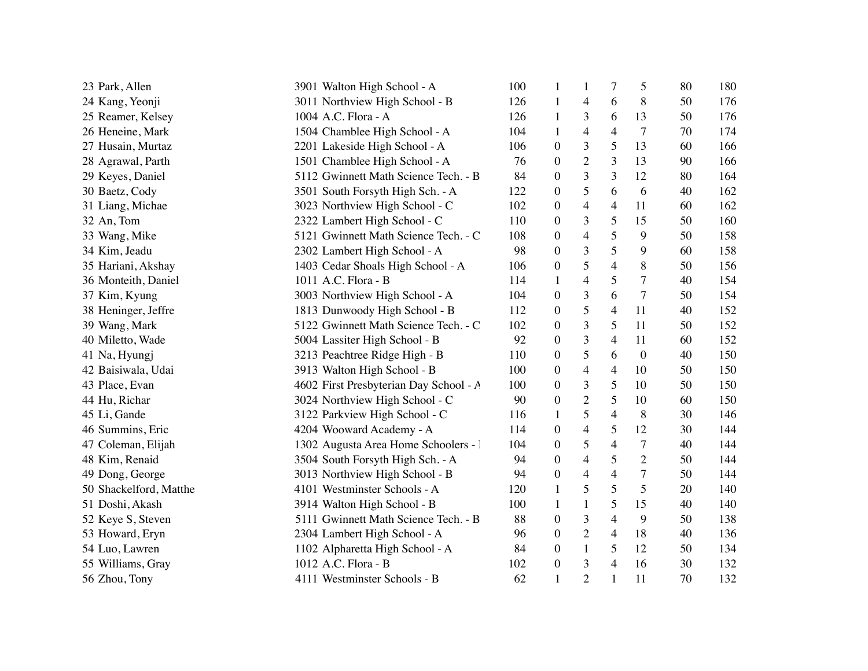| 23 Park, Allen         | 3901 Walton High School - A            | 100 | 1                | 1              | 7              | 5              | 80 | 180 |
|------------------------|----------------------------------------|-----|------------------|----------------|----------------|----------------|----|-----|
| 24 Kang, Yeonji        | 3011 Northview High School - B         |     | $\mathbf{1}$     | 4              | 6              | 8              | 50 | 176 |
| 25 Reamer, Kelsey      | 1004 A.C. Flora - A                    |     | $\mathbf{1}$     | 3              | 6              | 13             | 50 | 176 |
| 26 Heneine, Mark       | 1504 Chamblee High School - A          |     | $\mathbf{1}$     | 4              | $\overline{4}$ | $\overline{7}$ | 70 | 174 |
| 27 Husain, Murtaz      | 2201 Lakeside High School - A          |     | $\boldsymbol{0}$ | 3              | 5              | 13             | 60 | 166 |
| 28 Agrawal, Parth      | 1501 Chamblee High School - A          | 76  | $\boldsymbol{0}$ | $\overline{2}$ | 3              | 13             | 90 | 166 |
| 29 Keyes, Daniel       | 5112 Gwinnett Math Science Tech. - B   | 84  | $\boldsymbol{0}$ | 3              | 3              | 12             | 80 | 164 |
| 30 Baetz, Cody         | 3501 South Forsyth High Sch. - A       | 122 | $\boldsymbol{0}$ | 5              | 6              | 6              | 40 | 162 |
| 31 Liang, Michae       | 3023 Northview High School - C         | 102 | $\boldsymbol{0}$ | 4              | $\overline{4}$ | 11             | 60 | 162 |
| 32 An, Tom             | 2322 Lambert High School - C           | 110 | $\boldsymbol{0}$ | 3              | 5              | 15             | 50 | 160 |
| 33 Wang, Mike          | 5121 Gwinnett Math Science Tech. - C   | 108 | $\boldsymbol{0}$ | 4              | 5              | 9              | 50 | 158 |
| 34 Kim, Jeadu          | 2302 Lambert High School - A           | 98  | $\boldsymbol{0}$ | 3              | 5              | 9              | 60 | 158 |
| 35 Hariani, Akshay     | 1403 Cedar Shoals High School - A      | 106 | $\boldsymbol{0}$ | 5              | $\overline{4}$ | 8              | 50 | 156 |
| 36 Monteith, Daniel    | 1011 A.C. Flora - B                    | 114 | 1                | 4              | 5              | $\overline{7}$ | 40 | 154 |
| 37 Kim, Kyung          | 3003 Northview High School - A         | 104 | $\boldsymbol{0}$ | 3              | 6              | $\tau$         | 50 | 154 |
| 38 Heninger, Jeffre    | 1813 Dunwoody High School - B          | 112 | $\boldsymbol{0}$ | 5              | $\overline{4}$ | 11             | 40 | 152 |
| 39 Wang, Mark          | 5122 Gwinnett Math Science Tech. - C   | 102 | $\boldsymbol{0}$ | 3              | 5              | 11             | 50 | 152 |
| 40 Miletto, Wade       | 5004 Lassiter High School - B          | 92  | $\boldsymbol{0}$ | 3              | $\overline{4}$ | 11             | 60 | 152 |
| 41 Na, Hyungj          | 3213 Peachtree Ridge High - B          | 110 | $\boldsymbol{0}$ | 5              | 6              | $\mathbf{0}$   | 40 | 150 |
| 42 Baisiwala, Udai     | 3913 Walton High School - B            | 100 | $\boldsymbol{0}$ | 4              | $\overline{4}$ | 10             | 50 | 150 |
| 43 Place, Evan         | 4602 First Presbyterian Day School - A | 100 | $\boldsymbol{0}$ | 3              | 5              | 10             | 50 | 150 |
| 44 Hu, Richar          | 3024 Northview High School - C         | 90  | $\boldsymbol{0}$ | $\overline{2}$ | 5              | 10             | 60 | 150 |
| 45 Li, Gande           | 3122 Parkview High School - C          | 116 | $\mathbf{1}$     | 5              | $\overline{4}$ | 8              | 30 | 146 |
| 46 Summins, Eric       | 4204 Wooward Academy - A               | 114 | $\boldsymbol{0}$ | 4              | 5              | 12             | 30 | 144 |
| 47 Coleman, Elijah     | 1302 Augusta Area Home Schoolers - 1   | 104 | $\boldsymbol{0}$ | 5              | $\overline{4}$ | $\tau$         | 40 | 144 |
| 48 Kim, Renaid         | 3504 South Forsyth High Sch. - A       | 94  | $\boldsymbol{0}$ | $\overline{4}$ | 5              | $\overline{2}$ | 50 | 144 |
| 49 Dong, George        | 3013 Northview High School - B         | 94  | $\boldsymbol{0}$ | 4              | $\overline{4}$ | $\overline{7}$ | 50 | 144 |
| 50 Shackelford, Matthe | 4101 Westminster Schools - A           | 120 | $\mathbf{1}$     | 5              | 5              | 5              | 20 | 140 |
| 51 Doshi, Akash        | 3914 Walton High School - B            | 100 | $\mathbf{1}$     | $\mathbf{1}$   | 5              | 15             | 40 | 140 |
| 52 Keye S, Steven      | 5111 Gwinnett Math Science Tech. - B   | 88  | $\boldsymbol{0}$ | 3              | $\overline{4}$ | 9              | 50 | 138 |
| 53 Howard, Eryn        | 2304 Lambert High School - A           | 96  | $\boldsymbol{0}$ | $\overline{2}$ | 4              | 18             | 40 | 136 |
| 54 Luo, Lawren         | 1102 Alpharetta High School - A        | 84  | 0                | $\mathbf{1}$   | 5              | 12             | 50 | 134 |
| 55 Williams, Gray      | 1012 A.C. Flora - B                    | 102 | $\boldsymbol{0}$ | 3              | 4              | 16             | 30 | 132 |
| 56 Zhou, Tony          | 4111 Westminster Schools - B           | 62  | 1                | $\overline{2}$ | $\mathbf{1}$   | 11             | 70 | 132 |